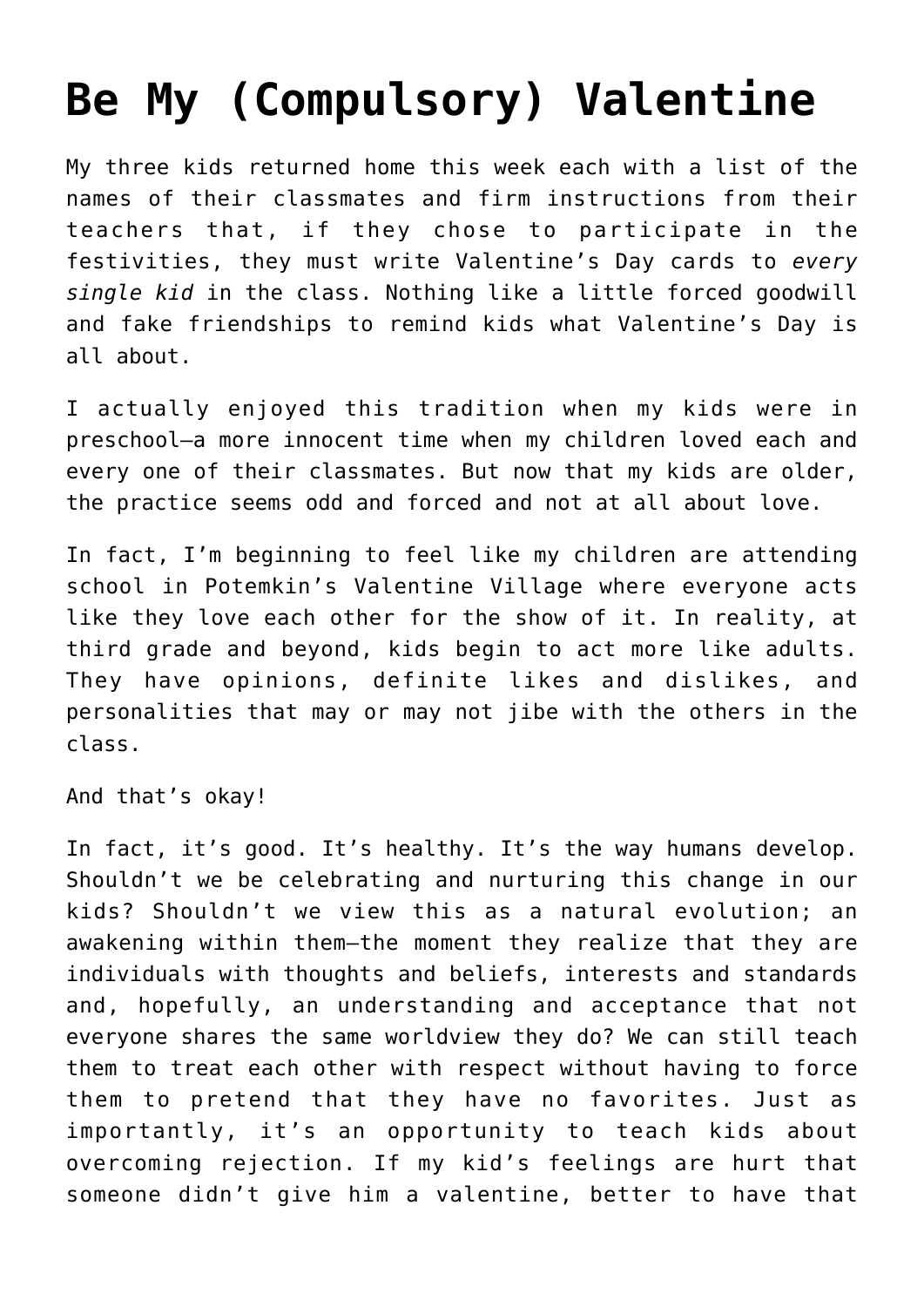## **[Be My \(Compulsory\) Valentine](https://intellectualtakeout.org/2018/02/be-my-compulsory-valentine/)**

My three kids returned home this week each with a list of the names of their classmates and firm instructions from their teachers that, if they chose to participate in the festivities, they must write Valentine's Day cards to *every single kid* in the class. Nothing like a little forced goodwill and fake friendships to remind kids what Valentine's Day is all about.

I actually enjoyed this tradition when my kids were in preschool—a more innocent time when my children loved each and every one of their classmates. But now that my kids are older, the practice seems odd and forced and not at all about love.

In fact, I'm beginning to feel like my children are attending school in Potemkin's Valentine Village where everyone acts like they love each other for the show of it. In reality, at third grade and beyond, kids begin to act more like adults. They have opinions, definite likes and dislikes, and personalities that may or may not jibe with the others in the class.

And that's okay!

In fact, it's good. It's healthy. It's the way humans develop. Shouldn't we be celebrating and nurturing this change in our kids? Shouldn't we view this as a natural evolution; an awakening within them—the moment they realize that they are individuals with thoughts and beliefs, interests and standards and, hopefully, an understanding and acceptance that not everyone shares the same worldview they do? We can still teach them to treat each other with respect without having to force them to pretend that they have no favorites. Just as importantly, it's an opportunity to teach kids about overcoming rejection. If my kid's feelings are hurt that someone didn't give him a valentine, better to have that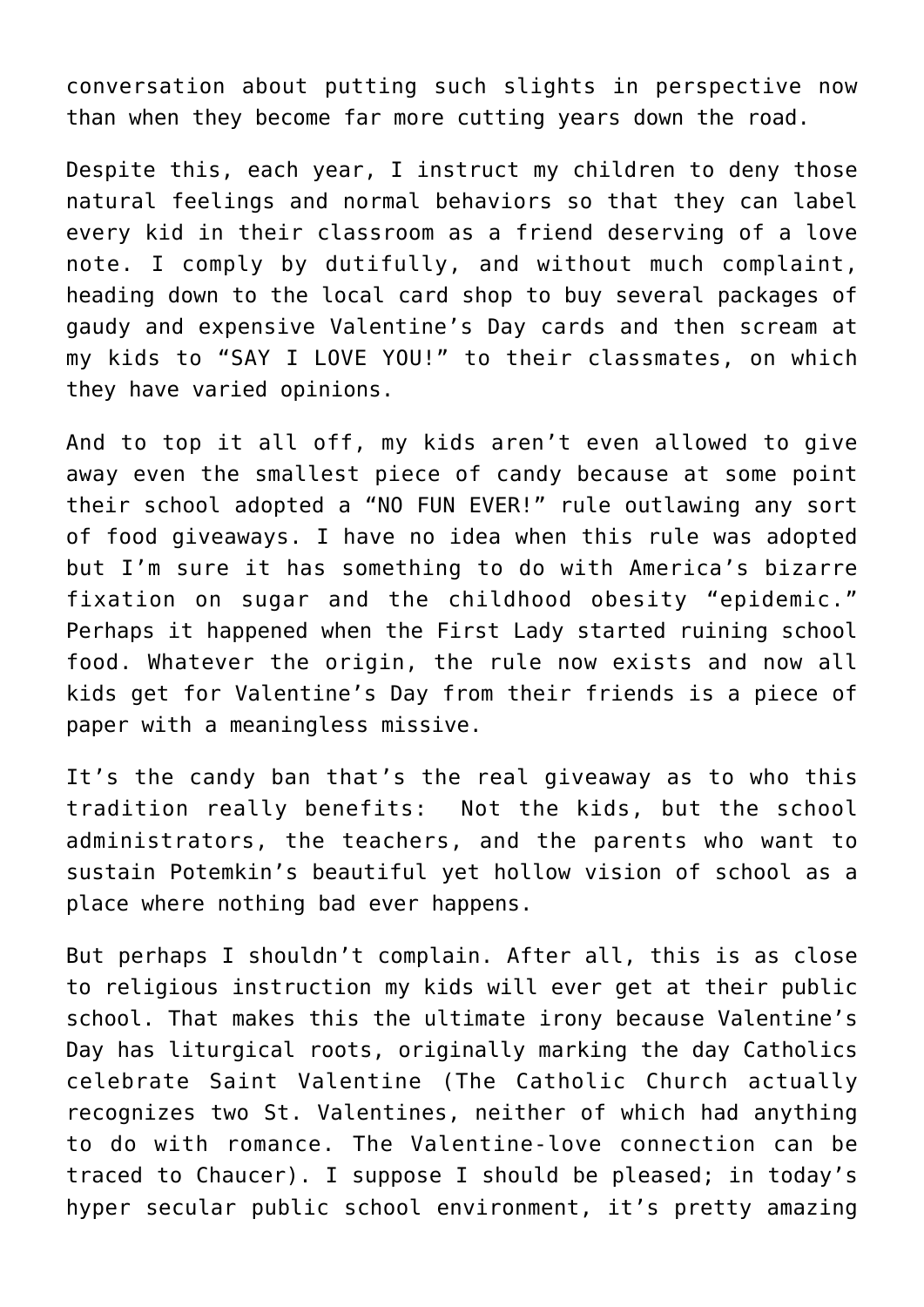conversation about putting such slights in perspective now than when they become far more cutting years down the road.

Despite this, each year, I instruct my children to deny those natural feelings and normal behaviors so that they can label every kid in their classroom as a friend deserving of a love note. I comply by dutifully, and without much complaint, heading down to the local card shop to buy several packages of gaudy and expensive Valentine's Day cards and then scream at my kids to "SAY I LOVE YOU!" to their classmates, on which they have varied opinions.

And to top it all off, my kids aren't even allowed to give away even the smallest piece of candy because at some point their school adopted a "NO FUN EVER!" rule outlawing any sort of food giveaways. I have no idea when this rule was adopted but I'm sure it has something to do with America's bizarre fixation on sugar and the childhood obesity "epidemic." Perhaps it happened when the First Lady started ruining school food. Whatever the origin, the rule now exists and now all kids get for Valentine's Day from their friends is a piece of paper with a meaningless missive.

It's the candy ban that's the real giveaway as to who this tradition really benefits: Not the kids, but the school administrators, the teachers, and the parents who want to sustain Potemkin's beautiful yet hollow vision of school as a place where nothing bad ever happens.

But perhaps I shouldn't complain. After all, this is as close to religious instruction my kids will ever get at their public school. That makes this the ultimate irony because Valentine's Day has liturgical roots, originally marking the day Catholics celebrate Saint Valentine (The Catholic Church actually recognizes two St. Valentines, neither of which had anything to do with romance. The Valentine-love connection can be traced to Chaucer). I suppose I should be pleased; in today's hyper secular public school environment, it's pretty amazing